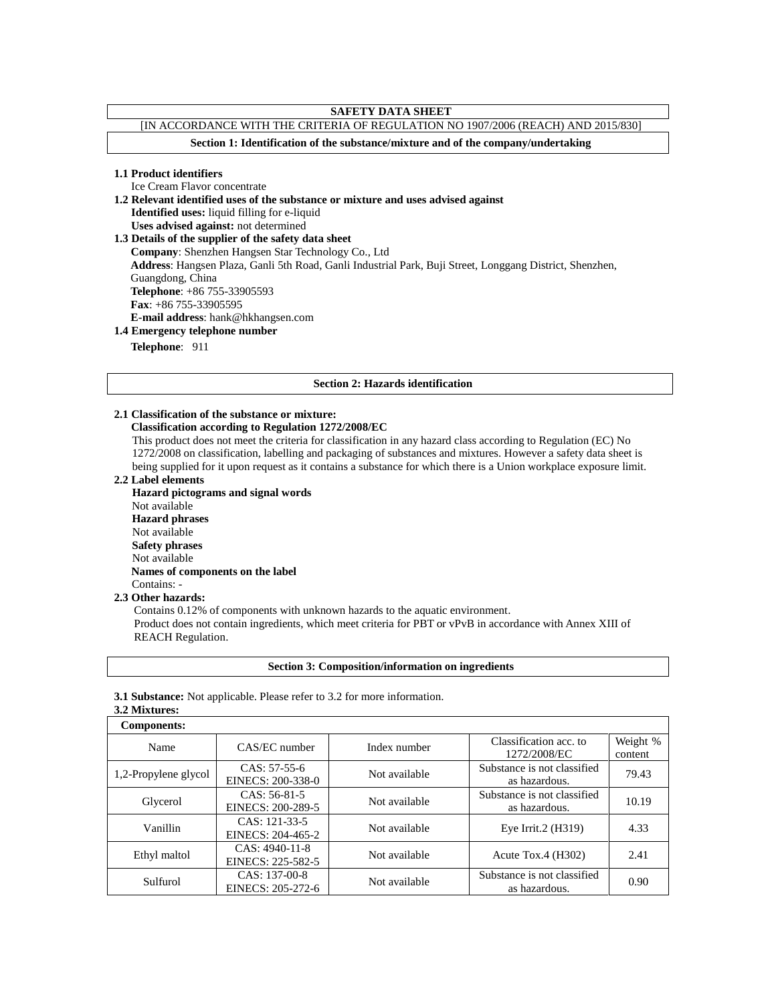# **SAFETY DATA SHEET**

# [IN ACCORDANCE WITH THE CRITERIA OF REGULATION NO 1907/2006 (REACH) AND 2015/830]

**Section 1: Identification of the substance/mixture and of the company/undertaking**

#### **1.1 Product identifiers**

Ice Cream Flavor concentrate

**1.2 Relevant identified uses of the substance or mixture and uses advised against**

**Identified uses:** liquid filling for e-liquid

**Uses advised against:** not determined

**1.3 Details of the supplier of the safety data sheet**

**Company**: Shenzhen Hangsen Star Technology Co., Ltd

**Address**: Hangsen Plaza, Ganli 5th Road, Ganli Industrial Park, Buji Street, Longgang District, Shenzhen,

Guangdong, China

**Telephone**: +86 755-33905593

**Fax**: +86 755-33905595

# **E-mail address**: hank@hkhangsen.com

**1.4 Emergency telephone number**

**Telephone**: 911

#### **Section 2: Hazards identification**

## **2.1 Classification of the substance or mixture:**

### **Classification according to Regulation 1272/2008/EC**

This product does not meet the criteria for classification in any hazard class according to Regulation (EC) No 1272/2008 on classification, labelling and packaging of substances and mixtures. However a safety data sheet is being supplied for it upon request as it contains a substance for which there is a Union workplace exposure limit.

**2.2 Label elements**

**Hazard pictograms and signal words** Not available **Hazard phrases** Not available **Safety phrases** Not available  **Names of components on the label** Contains: -

#### **2.3 Other hazards:**

**3.2 Mixtures:** 

Contains 0.12% of components with unknown hazards to the aquatic environment. Product does not contain ingredients, which meet criteria for PBT or vPvB in accordance with Annex XIII of REACH Regulation.

| <b>Section 3: Composition/information on ingredients</b> |  |  |  |
|----------------------------------------------------------|--|--|--|

**3.1 Substance:** Not applicable. Please refer to 3.2 for more information.

**Components:** Name CAS/EC number Index number Classification acc. to 1272/2008/EC Weight % content 1,2-Propylene glycol  $\begin{array}{|c|c|c|c|c|c|}\n\hline\n\text{CAS: } 57-55-6 \\
\hline\n\text{ھ: } 57-55-6 \\
\hline\n\text{RMEGS: } 200-236\n\hline\n\end{array}$ EINECS: 200-338-0 Not available Substance is not classified ance is not classified  $\begin{bmatrix} 79.43 \end{bmatrix}$ Glycerol CAS:  $56-81-5$ EINECS: 200-289-5 Not available Substance is not classified as hazardous.  $10.19$ Vanillin CAS: 121-33-5 EINECS: 204-465-2 Not available Eye Irrit.2 (H319) 4.33 Ethyl maltol  $\begin{array}{|c|c|c|c|c|}\n\hline\n\text{CAS: } & 4940-\overline{11-8} \\
\hline\n\text{RINFGS} & 225,582\n\end{array}$ EINECS: 225-582-5 Not available Acute Tox.4 (H302) 2.41 Sulfurol CAS: 137-00-8 EINECS: 205-272-6 Not available Substance is not classified as hazardous.  $0.90$ <br>as hazardous.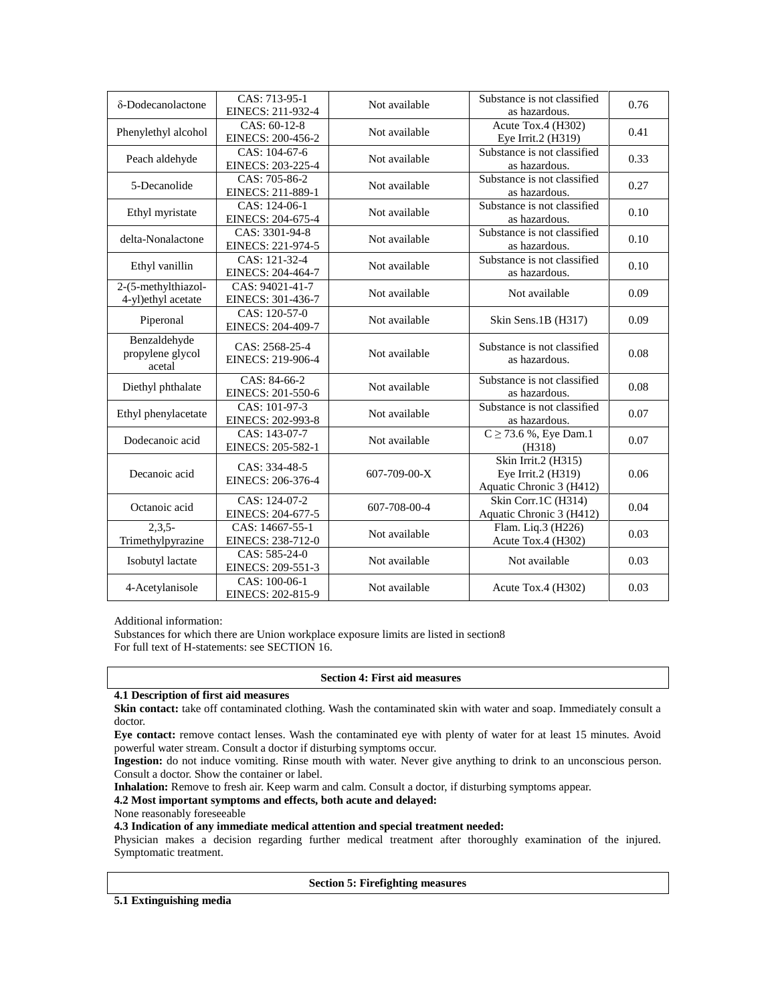| δ-Dodecanolactone                          | CAS: 713-95-1<br>EINECS: 211-932-4   | Not available | Substance is not classified<br>as hazardous.                          | 0.76 |
|--------------------------------------------|--------------------------------------|---------------|-----------------------------------------------------------------------|------|
| Phenylethyl alcohol                        | CAS: 60-12-8<br>EINECS: 200-456-2    | Not available | Acute Tox.4 (H302)<br>Eye Irrit.2 (H319)                              | 0.41 |
| Peach aldehyde                             | CAS: 104-67-6<br>EINECS: 203-225-4   | Not available | Substance is not classified<br>as hazardous.                          | 0.33 |
| 5-Decanolide                               | CAS: 705-86-2<br>EINECS: 211-889-1   | Not available | Substance is not classified<br>as hazardous.                          | 0.27 |
| Ethyl myristate                            | CAS: 124-06-1<br>EINECS: 204-675-4   | Not available | Substance is not classified<br>as hazardous.                          | 0.10 |
| delta-Nonalactone                          | CAS: 3301-94-8<br>EINECS: 221-974-5  | Not available | Substance is not classified<br>as hazardous.                          | 0.10 |
| Ethyl vanillin                             | CAS: 121-32-4<br>EINECS: 204-464-7   | Not available | Substance is not classified<br>as hazardous.                          | 0.10 |
| 2-(5-methylthiazol-<br>4-yl)ethyl acetate  | CAS: 94021-41-7<br>EINECS: 301-436-7 | Not available | Not available                                                         | 0.09 |
| Piperonal                                  | CAS: 120-57-0<br>EINECS: 204-409-7   | Not available | Skin Sens.1B (H317)                                                   | 0.09 |
| Benzaldehyde<br>propylene glycol<br>acetal | CAS: 2568-25-4<br>EINECS: 219-906-4  | Not available | Substance is not classified<br>as hazardous.                          | 0.08 |
| Diethyl phthalate                          | CAS: 84-66-2<br>EINECS: 201-550-6    | Not available | Substance is not classified<br>as hazardous.                          | 0.08 |
| Ethyl phenylacetate                        | CAS: 101-97-3<br>EINECS: 202-993-8   | Not available | Substance is not classified<br>as hazardous.                          | 0.07 |
| Dodecanoic acid                            | CAS: 143-07-7<br>EINECS: 205-582-1   | Not available | $C \ge 73.6$ %, Eye Dam.1<br>(H318)                                   | 0.07 |
| Decanoic acid                              | CAS: 334-48-5<br>EINECS: 206-376-4   | 607-709-00-X  | Skin Irrit.2 (H315)<br>Eye Irrit.2 (H319)<br>Aquatic Chronic 3 (H412) | 0.06 |
| Octanoic acid                              | CAS: 124-07-2<br>EINECS: 204-677-5   | 607-708-00-4  | $\overline{\text{Skin}}$ Corr.1C (H314)<br>Aquatic Chronic 3 (H412)   | 0.04 |
| 2,3,5<br>Trimethylpyrazine                 | CAS: 14667-55-1<br>EINECS: 238-712-0 | Not available | Flam. Liq.3 (H226)<br>Acute Tox.4 (H302)                              | 0.03 |
| Isobutyl lactate                           | CAS: 585-24-0<br>EINECS: 209-551-3   | Not available | Not available                                                         | 0.03 |
| 4-Acetylanisole                            | CAS: 100-06-1<br>EINECS: 202-815-9   | Not available | Acute Tox.4 (H302)                                                    | 0.03 |

Additional information:

Substances for which there are Union workplace exposure limits are listed in section8 For full text of H-statements: see SECTION 16.

#### **Section 4: First aid measures**

### **4.1 Description of first aid measures**

Skin contact: take off contaminated clothing. Wash the contaminated skin with water and soap. Immediately consult a doctor.

**Eye contact:** remove contact lenses. Wash the contaminated eye with plenty of water for at least 15 minutes. Avoid powerful water stream. Consult a doctor if disturbing symptoms occur.

**Ingestion:** do not induce vomiting. Rinse mouth with water. Never give anything to drink to an unconscious person. Consult a doctor. Show the container or label.

**Inhalation:** Remove to fresh air. Keep warm and calm. Consult a doctor, if disturbing symptoms appear.

# **4.2 Most important symptoms and effects, both acute and delayed:**

None reasonably foreseeable

**4.3 Indication of any immediate medical attention and special treatment needed:** 

Physician makes a decision regarding further medical treatment after thoroughly examination of the injured. Symptomatic treatment.

**Section 5: Firefighting measures**

**5.1 Extinguishing media**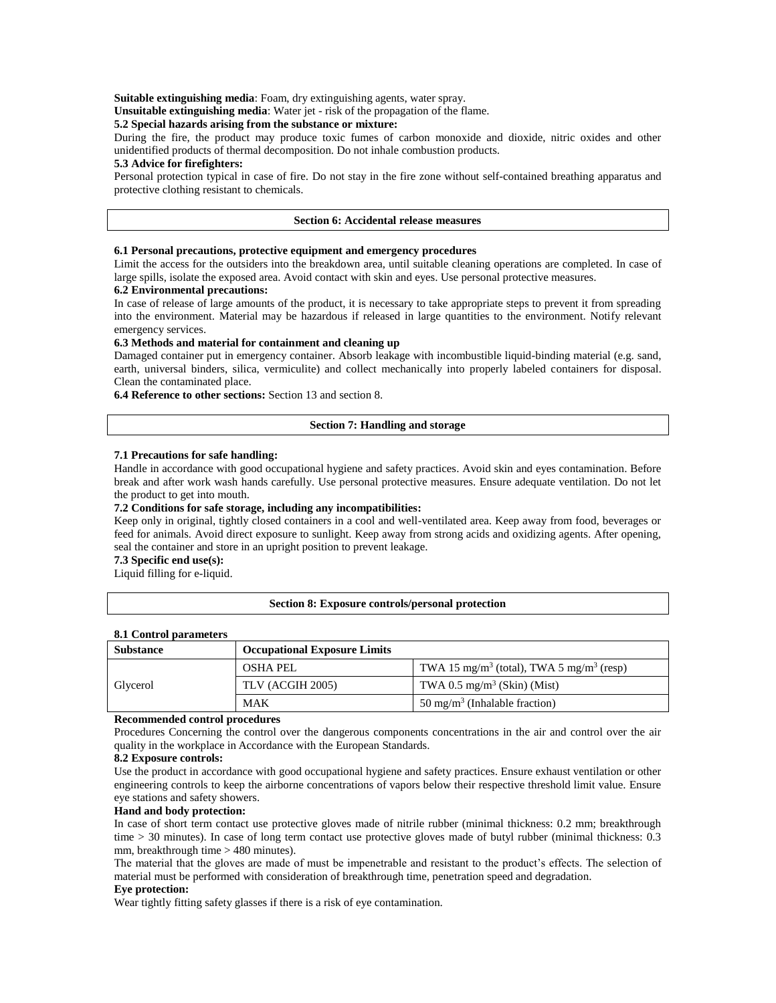**Suitable extinguishing media**: Foam, dry extinguishing agents, water spray.

**Unsuitable extinguishing media**: Water jet - risk of the propagation of the flame.

# **5.2 Special hazards arising from the substance or mixture:**

During the fire, the product may produce toxic fumes of carbon monoxide and dioxide, nitric oxides and other unidentified products of thermal decomposition. Do not inhale combustion products.

#### **5.3 Advice for firefighters:**

Personal protection typical in case of fire. Do not stay in the fire zone without self-contained breathing apparatus and protective clothing resistant to chemicals.

#### **Section 6: Accidental release measures**

### **6.1 Personal precautions, protective equipment and emergency procedures**

Limit the access for the outsiders into the breakdown area, until suitable cleaning operations are completed. In case of large spills, isolate the exposed area. Avoid contact with skin and eyes. Use personal protective measures.

#### **6.2 Environmental precautions:**

In case of release of large amounts of the product, it is necessary to take appropriate steps to prevent it from spreading into the environment. Material may be hazardous if released in large quantities to the environment. Notify relevant emergency services.

#### **6.3 Methods and material for containment and cleaning up**

Damaged container put in emergency container. Absorb leakage with incombustible liquid-binding material (e.g. sand, earth, universal binders, silica, vermiculite) and collect mechanically into properly labeled containers for disposal. Clean the contaminated place.

**6.4 Reference to other sections:** Section 13 and section 8.

#### **Section 7: Handling and storage**

#### **7.1 Precautions for safe handling:**

Handle in accordance with good occupational hygiene and safety practices. Avoid skin and eyes contamination. Before break and after work wash hands carefully. Use personal protective measures. Ensure adequate ventilation. Do not let the product to get into mouth.

# **7.2 Conditions for safe storage, including any incompatibilities:**

Keep only in original, tightly closed containers in a cool and well-ventilated area. Keep away from food, beverages or feed for animals. Avoid direct exposure to sunlight. Keep away from strong acids and oxidizing agents. After opening, seal the container and store in an upright position to prevent leakage.

#### **7.3 Specific end use(s):**

Liquid filling for e-liquid.

#### **Section 8: Exposure controls/personal protection**

#### **8.1 Control parameters**

| <b>Substance</b> | <b>Occupational Exposure Limits</b> |                                                                  |
|------------------|-------------------------------------|------------------------------------------------------------------|
|                  | OSHA PEL                            | TWA 15 mg/m <sup>3</sup> (total), TWA 5 mg/m <sup>3</sup> (resp) |
| Glycerol         | TLV (ACGIH 2005)                    | TWA 0.5 mg/m <sup>3</sup> (Skin) (Mist)                          |
|                  | <b>MAK</b>                          | 50 mg/m <sup>3</sup> (Inhalable fraction)                        |

#### **Recommended control procedures**

Procedures Concerning the control over the dangerous components concentrations in the air and control over the air quality in the workplace in Accordance with the European Standards.

#### **8.2 Exposure controls:**

Use the product in accordance with good occupational hygiene and safety practices. Ensure exhaust ventilation or other engineering controls to keep the airborne concentrations of vapors below their respective threshold limit value. Ensure eye stations and safety showers.

#### **Hand and body protection:**

In case of short term contact use protective gloves made of nitrile rubber (minimal thickness: 0.2 mm; breakthrough time > 30 minutes). In case of long term contact use protective gloves made of butyl rubber (minimal thickness: 0.3 mm, breakthrough time > 480 minutes).

The material that the gloves are made of must be impenetrable and resistant to the product's effects. The selection of material must be performed with consideration of breakthrough time, penetration speed and degradation.

# **Eye protection:**

Wear tightly fitting safety glasses if there is a risk of eye contamination.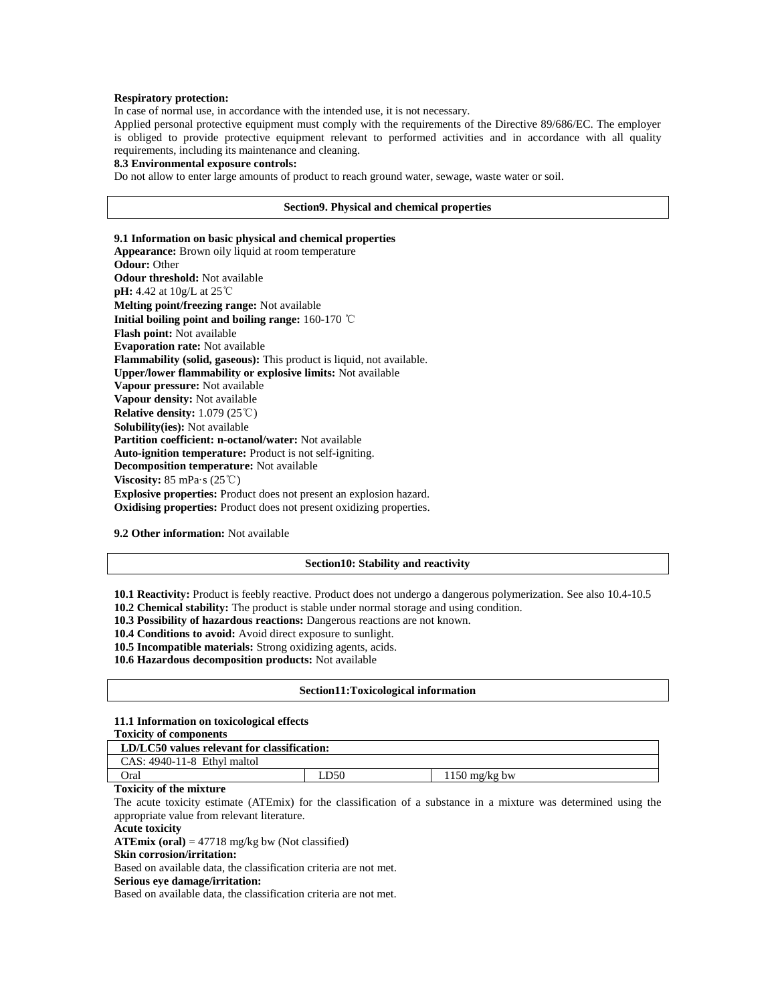#### **Respiratory protection:**

In case of normal use, in accordance with the intended use, it is not necessary.

Applied personal protective equipment must comply with the requirements of the Directive 89/686/EC. The employer is obliged to provide protective equipment relevant to performed activities and in accordance with all quality requirements, including its maintenance and cleaning.

#### **8.3 Environmental exposure controls:**

Do not allow to enter large amounts of product to reach ground water, sewage, waste water or soil.

#### **Section9. Physical and chemical properties**

**9.1 Information on basic physical and chemical properties Appearance:** Brown oily liquid at room temperature **Odour:** Other **Odour threshold:** Not available **pH:** 4.42 at 10g/L at 25℃ **Melting point/freezing range:** Not available **Initial boiling point and boiling range:** 160-170 ℃ **Flash point:** Not available **Evaporation rate:** Not available **Flammability (solid, gaseous):** This product is liquid, not available. **Upper/lower flammability or explosive limits:** Not available **Vapour pressure:** Not available **Vapour density:** Not available **Relative density:** 1.079 (25℃) **Solubility(ies):** Not available **Partition coefficient: n-octanol/water:** Not available **Auto-ignition temperature:** Product is not self-igniting. **Decomposition temperature:** Not available **Viscosity:** 85 mPa·s (25℃) **Explosive properties:** Product does not present an explosion hazard. **Oxidising properties:** Product does not present oxidizing properties.

**9.2 Other information:** Not available

#### **Section10: Stability and reactivity**

**10.1 Reactivity:** Product is feebly reactive. Product does not undergo a dangerous polymerization. See also 10.4-10.5

- **10.2 Chemical stability:** The product is stable under normal storage and using condition.
- **10.3 Possibility of hazardous reactions:** Dangerous reactions are not known.
- **10.4 Conditions to avoid:** Avoid direct exposure to sunlight.
- **10.5 Incompatible materials:** Strong oxidizing agents, acids.

**10.6 Hazardous decomposition products:** Not available

#### **Section11:Toxicological information**

#### **11.1 Information on toxicological effects**

| <b>Toxicity of components</b>               |      |                         |
|---------------------------------------------|------|-------------------------|
| LD/LC50 values relevant for classification: |      |                         |
| $CAS: 4940-11-8$ Ethyl maltol               |      |                         |
| Oral                                        | D50. | $1150 \text{ mg/kg}$ bw |

**Toxicity of the mixture**

The acute toxicity estimate (ATEmix) for the classification of a substance in a mixture was determined using the appropriate value from relevant literature.

#### **Acute toxicity**

**ATEmix (oral)** = 47718 mg/kg bw (Not classified)

#### **Skin corrosion/irritation:**

Based on available data, the classification criteria are not met.

**Serious eye damage/irritation:**

Based on available data, the classification criteria are not met.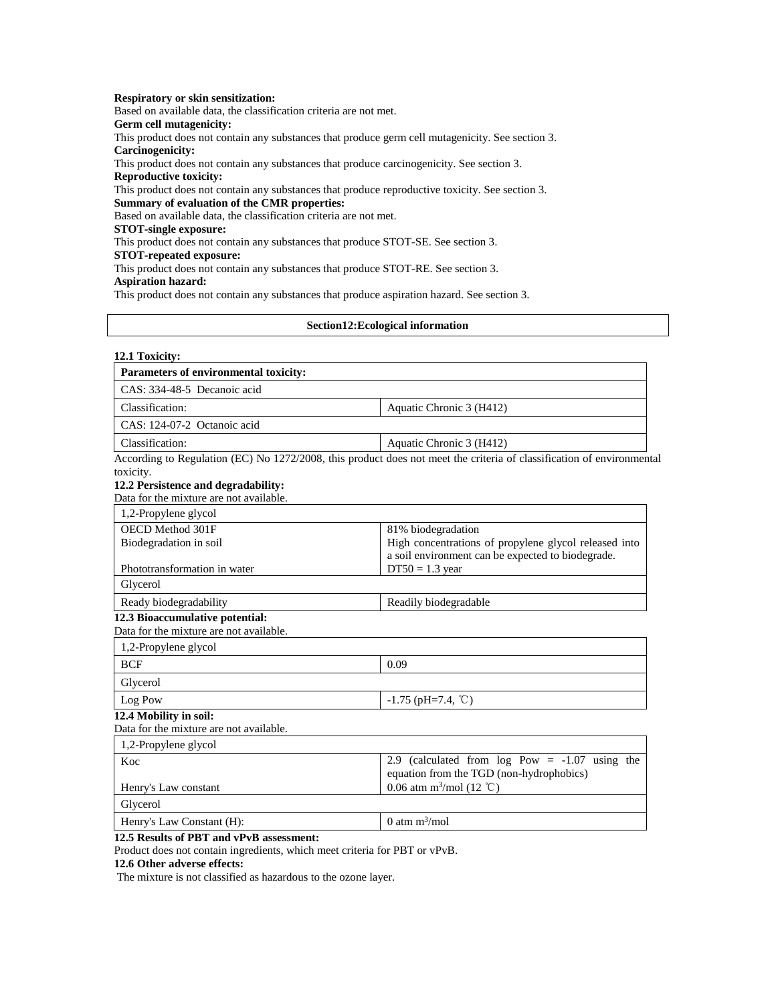#### **Respiratory or skin sensitization:**

Based on available data, the classification criteria are not met.

# **Germ cell mutagenicity:**

This product does not contain any substances that produce germ cell mutagenicity. See section 3. **Carcinogenicity:**

This product does not contain any substances that produce carcinogenicity. See section 3.

**Reproductive toxicity:**

This product does not contain any substances that produce reproductive toxicity. See section 3.

### **Summary of evaluation of the CMR properties:**

Based on available data, the classification criteria are not met.

### **STOT-single exposure:**

This product does not contain any substances that produce STOT-SE. See section 3.

# **STOT-repeated exposure:**

This product does not contain any substances that produce STOT-RE. See section 3.

# **Aspiration hazard:**

This product does not contain any substances that produce aspiration hazard. See section 3.

### **Section12:Ecological information**

# **12.1 Toxicity:**

| Parameters of environmental toxicity:            |                                                                                                                       |
|--------------------------------------------------|-----------------------------------------------------------------------------------------------------------------------|
| CAS: 334-48-5 Decanoic acid                      |                                                                                                                       |
| Classification:                                  | Aquatic Chronic 3 (H412)                                                                                              |
| CAS: 124-07-2 Octanoic acid                      |                                                                                                                       |
| Classification:                                  | Aquatic Chronic 3 (H412)                                                                                              |
| toxicity.<br>12.2 Persistence and degradability: | According to Regulation (EC) No 1272/2008, this product does not meet the criteria of classification of environmental |
| Data for the mixture are not available.          |                                                                                                                       |
| 1,2-Propylene glycol                             |                                                                                                                       |
| <b>OECD</b> Method 301F                          | 81% biodegradation                                                                                                    |
| Biodegradation in soil                           | High concentrations of propylene glycol released into<br>a soil environment can be expected to biodegrade.            |
| Phototransformation in water                     | $DT50 = 1.3$ year                                                                                                     |
| Glycerol                                         |                                                                                                                       |
| Ready biodegradability                           | Readily biodegradable                                                                                                 |
| 12.3 Bioaccumulative potential:                  |                                                                                                                       |
| Data for the mixture are not available.          |                                                                                                                       |
| 1,2-Propylene glycol                             |                                                                                                                       |
| <b>BCF</b>                                       | 0.09                                                                                                                  |
| Glycerol                                         |                                                                                                                       |
| Log Pow                                          | $-1.75$ (pH=7.4, °C)                                                                                                  |
| 12.4 Mobility in soil:                           |                                                                                                                       |
| Data for the mixture are not available.          |                                                                                                                       |
| 1,2-Propylene glycol                             |                                                                                                                       |
| Koc                                              | 2.9 (calculated from $log Pow = -1.07$ using the<br>equation from the TGD (non-hydrophobics)                          |
| Henry's Law constant                             | 0.06 atm $m^3$ /mol (12 °C)                                                                                           |
| Glycerol                                         |                                                                                                                       |
| Henry's Law Constant (H):                        | 0 atm $m^3$ /mol                                                                                                      |
| 12.5 Results of PBT and vPvB assessment:         |                                                                                                                       |

Product does not contain ingredients, which meet criteria for PBT or vPvB.

# **12.6 Other adverse effects:**

The mixture is not classified as hazardous to the ozone layer.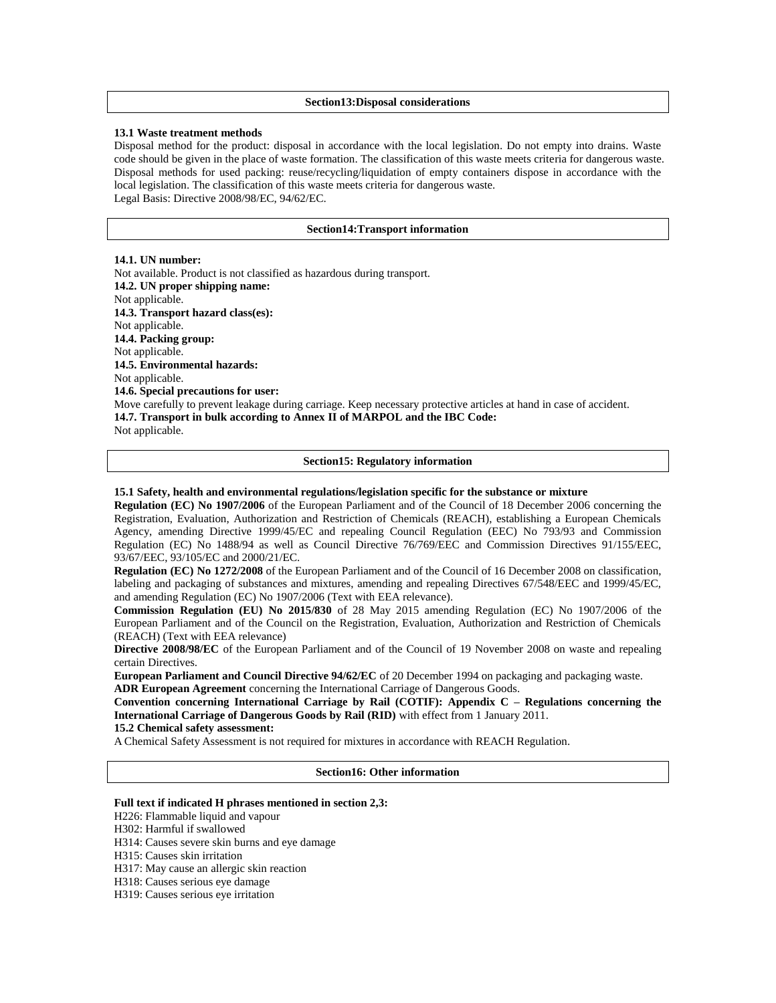#### **Section13:Disposal considerations**

#### **13.1 Waste treatment methods**

Disposal method for the product: disposal in accordance with the local legislation. Do not empty into drains. Waste code should be given in the place of waste formation. The classification of this waste meets criteria for dangerous waste. Disposal methods for used packing: reuse/recycling/liquidation of empty containers dispose in accordance with the local legislation. The classification of this waste meets criteria for dangerous waste. Legal Basis: Directive 2008/98/EC, 94/62/EC.

#### **Section14:Transport information**

#### **14.1. UN number:**

Not available. Product is not classified as hazardous during transport. **14.2. UN proper shipping name:**  Not applicable. **14.3. Transport hazard class(es):**  Not applicable. **14.4. Packing group:**  Not applicable. **14.5. Environmental hazards:**  Not applicable. **14.6. Special precautions for user:**  Move carefully to prevent leakage during carriage. Keep necessary protective articles at hand in case of accident. **14.7. Transport in bulk according to Annex II of MARPOL and the IBC Code:**  Not applicable.

#### **Section15: Regulatory information**

#### **15.1 Safety, health and environmental regulations/legislation specific for the substance or mixture**

**Regulation (EC) No 1907/2006** of the European Parliament and of the Council of 18 December 2006 concerning the Registration, Evaluation, Authorization and Restriction of Chemicals (REACH), establishing a European Chemicals Agency, amending Directive 1999/45/EC and repealing Council Regulation (EEC) No 793/93 and Commission Regulation (EC) No 1488/94 as well as Council Directive 76/769/EEC and Commission Directives 91/155/EEC, 93/67/EEC, 93/105/EC and 2000/21/EC.

**Regulation (EC) No 1272/2008** of the European Parliament and of the Council of 16 December 2008 on classification, labeling and packaging of substances and mixtures, amending and repealing Directives 67/548/EEC and 1999/45/EC, and amending Regulation (EC) No 1907/2006 (Text with EEA relevance).

**Commission Regulation (EU) No 2015/830** of 28 May 2015 amending Regulation (EC) No 1907/2006 of the European Parliament and of the Council on the Registration, Evaluation, Authorization and Restriction of Chemicals (REACH) (Text with EEA relevance)

**Directive 2008/98/EC** of the European Parliament and of the Council of 19 November 2008 on waste and repealing certain Directives.

**European Parliament and Council Directive 94/62/EC** of 20 December 1994 on packaging and packaging waste.

**ADR European Agreement** concerning the International Carriage of Dangerous Goods.

**Convention concerning International Carriage by Rail (COTIF): Appendix C – Regulations concerning the International Carriage of Dangerous Goods by Rail (RID)** with effect from 1 January 2011. **15.2 Chemical safety assessment:** 

A Chemical Safety Assessment is not required for mixtures in accordance with REACH Regulation.

**Section16: Other information**

### **Full text if indicated H phrases mentioned in section 2,3:**

H226: Flammable liquid and vapour

H302: Harmful if swallowed

H314: Causes severe skin burns and eye damage

H315: Causes skin irritation

H317: May cause an allergic skin reaction

H318: Causes serious eye damage

H319: Causes serious eye irritation